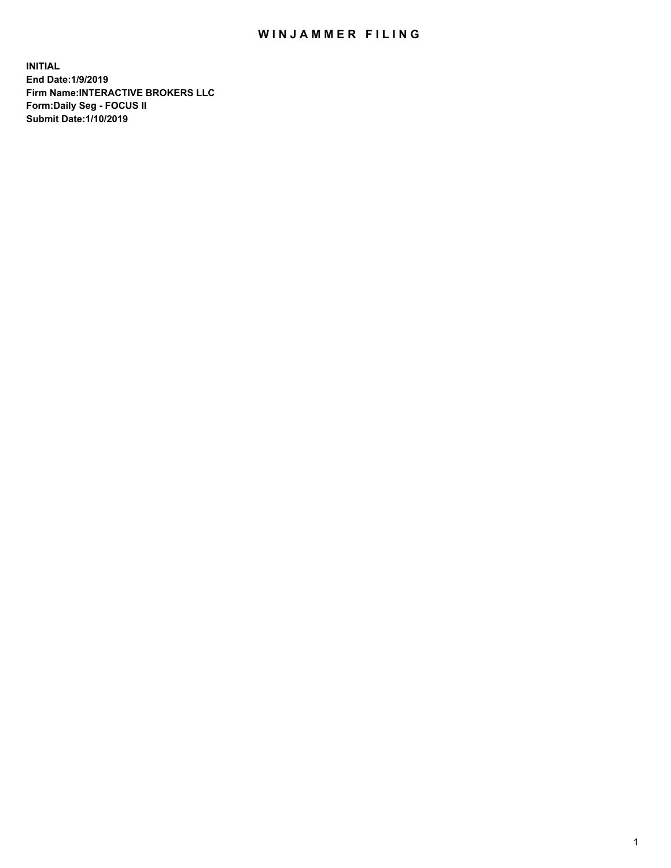## WIN JAMMER FILING

**INITIAL End Date:1/9/2019 Firm Name:INTERACTIVE BROKERS LLC Form:Daily Seg - FOCUS II Submit Date:1/10/2019**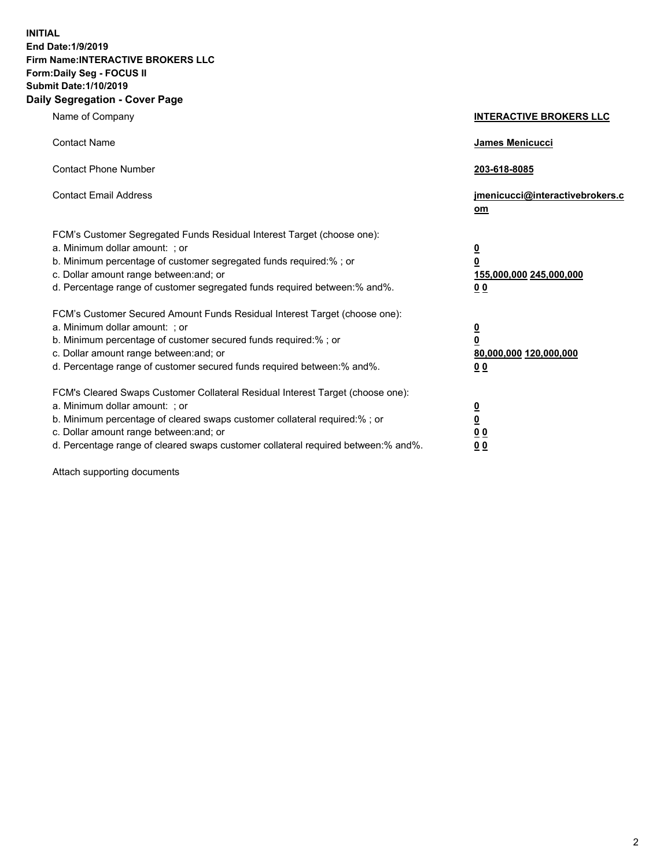**INITIAL End Date:1/9/2019 Firm Name:INTERACTIVE BROKERS LLC Form:Daily Seg - FOCUS II Submit Date:1/10/2019 Daily Segregation - Cover Page**

| Name of Company                                                                                                                                                                                                                                                                                                                | <b>INTERACTIVE BROKERS LLC</b>                                                                  |
|--------------------------------------------------------------------------------------------------------------------------------------------------------------------------------------------------------------------------------------------------------------------------------------------------------------------------------|-------------------------------------------------------------------------------------------------|
| <b>Contact Name</b>                                                                                                                                                                                                                                                                                                            | James Menicucci                                                                                 |
| <b>Contact Phone Number</b>                                                                                                                                                                                                                                                                                                    | 203-618-8085                                                                                    |
| <b>Contact Email Address</b>                                                                                                                                                                                                                                                                                                   | jmenicucci@interactivebrokers.c<br>om                                                           |
| FCM's Customer Segregated Funds Residual Interest Target (choose one):<br>a. Minimum dollar amount: ; or<br>b. Minimum percentage of customer segregated funds required:% ; or<br>c. Dollar amount range between: and; or<br>d. Percentage range of customer segregated funds required between:% and%.                         | $\overline{\mathbf{0}}$<br>$\overline{\mathbf{0}}$<br>155,000,000 245,000,000<br>0 <sub>0</sub> |
| FCM's Customer Secured Amount Funds Residual Interest Target (choose one):<br>a. Minimum dollar amount: ; or<br>b. Minimum percentage of customer secured funds required:% ; or<br>c. Dollar amount range between: and; or<br>d. Percentage range of customer secured funds required between:% and%.                           | $\overline{\mathbf{0}}$<br>0<br>80,000,000 120,000,000<br>0 <sub>0</sub>                        |
| FCM's Cleared Swaps Customer Collateral Residual Interest Target (choose one):<br>a. Minimum dollar amount: ; or<br>b. Minimum percentage of cleared swaps customer collateral required:% ; or<br>c. Dollar amount range between: and; or<br>d. Percentage range of cleared swaps customer collateral required between:% and%. | $\overline{\mathbf{0}}$<br><u>0</u><br>$\underline{0}$ $\underline{0}$<br>00                    |

Attach supporting documents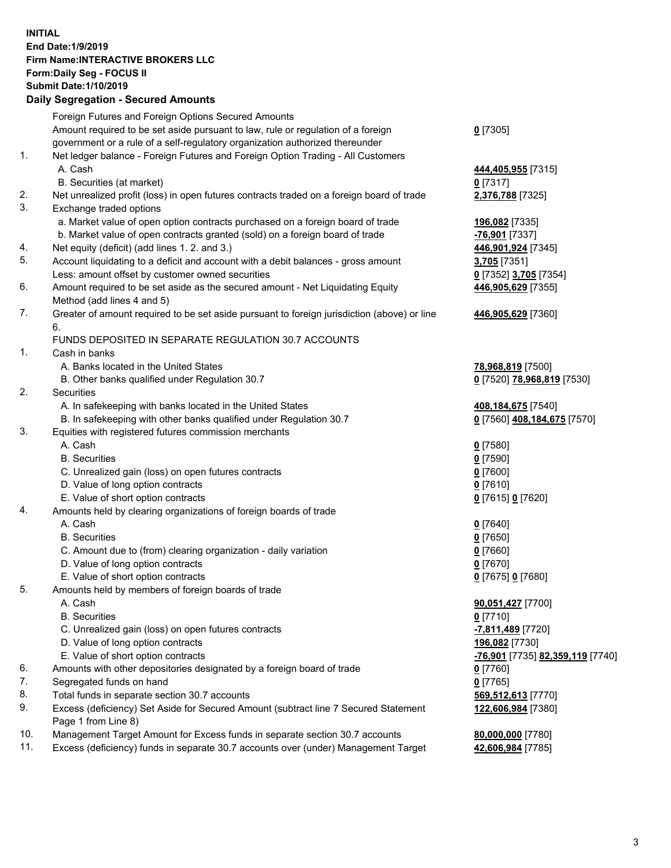## **INITIAL End Date:1/9/2019 Firm Name:INTERACTIVE BROKERS LLC Form:Daily Seg - FOCUS II Submit Date:1/10/2019 Daily Segregation - Secured Amounts**

|          | Daily Ocglegation - Occured Anioants                                                                       |                                                      |
|----------|------------------------------------------------------------------------------------------------------------|------------------------------------------------------|
|          | Foreign Futures and Foreign Options Secured Amounts                                                        |                                                      |
|          | Amount required to be set aside pursuant to law, rule or regulation of a foreign                           | $0$ [7305]                                           |
|          | government or a rule of a self-regulatory organization authorized thereunder                               |                                                      |
| 1.       | Net ledger balance - Foreign Futures and Foreign Option Trading - All Customers                            |                                                      |
|          | A. Cash                                                                                                    | 444,405,955 [7315]                                   |
|          | B. Securities (at market)                                                                                  | $0$ [7317]                                           |
| 2.       | Net unrealized profit (loss) in open futures contracts traded on a foreign board of trade                  | 2,376,788 [7325]                                     |
| 3.       | Exchange traded options                                                                                    |                                                      |
|          | a. Market value of open option contracts purchased on a foreign board of trade                             | 196,082 [7335]                                       |
|          | b. Market value of open contracts granted (sold) on a foreign board of trade                               | -76,901 [7337]                                       |
| 4.       | Net equity (deficit) (add lines 1.2. and 3.)                                                               | 446,901,924 [7345]                                   |
| 5.       | Account liquidating to a deficit and account with a debit balances - gross amount                          | 3,705 [7351]                                         |
|          | Less: amount offset by customer owned securities                                                           | 0 [7352] 3,705 [7354]                                |
| 6.       | Amount required to be set aside as the secured amount - Net Liquidating Equity                             | 446,905,629 [7355]                                   |
|          | Method (add lines 4 and 5)                                                                                 |                                                      |
| 7.       | Greater of amount required to be set aside pursuant to foreign jurisdiction (above) or line                | 446,905,629 [7360]                                   |
|          | 6.                                                                                                         |                                                      |
|          | FUNDS DEPOSITED IN SEPARATE REGULATION 30.7 ACCOUNTS                                                       |                                                      |
| 1.       | Cash in banks                                                                                              |                                                      |
|          | A. Banks located in the United States                                                                      | 78,968,819 [7500]                                    |
|          | B. Other banks qualified under Regulation 30.7                                                             | 0 [7520] 78,968,819 [7530]                           |
| 2.       | Securities                                                                                                 |                                                      |
|          | A. In safekeeping with banks located in the United States                                                  | 408,184,675 [7540]                                   |
|          | B. In safekeeping with other banks qualified under Regulation 30.7                                         | 0 [7560] 408,184,675 [7570]                          |
| 3.       | Equities with registered futures commission merchants                                                      |                                                      |
|          | A. Cash                                                                                                    | $0$ [7580]                                           |
|          | <b>B.</b> Securities                                                                                       | $0$ [7590]                                           |
|          | C. Unrealized gain (loss) on open futures contracts                                                        | $0$ [7600]                                           |
|          | D. Value of long option contracts                                                                          | $0$ [7610]                                           |
|          | E. Value of short option contracts                                                                         | 0 [7615] 0 [7620]                                    |
| 4.       | Amounts held by clearing organizations of foreign boards of trade                                          |                                                      |
|          | A. Cash                                                                                                    | $0$ [7640]                                           |
|          | <b>B.</b> Securities                                                                                       | $0$ [7650]                                           |
|          | C. Amount due to (from) clearing organization - daily variation                                            | $0$ [7660]                                           |
|          | D. Value of long option contracts                                                                          | $0$ [7670]                                           |
|          | E. Value of short option contracts                                                                         | 0 [7675] 0 [7680]                                    |
| 5.       | Amounts held by members of foreign boards of trade                                                         |                                                      |
|          | A. Cash                                                                                                    | 90,051,427 [7700]                                    |
|          | <b>B.</b> Securities                                                                                       | $0$ [7710]                                           |
|          | C. Unrealized gain (loss) on open futures contracts                                                        | -7,811,489 [7720]                                    |
|          | D. Value of long option contracts                                                                          | 196,082 [7730]                                       |
|          | E. Value of short option contracts                                                                         | <mark>-76,901</mark> [7735] <b>82,359,119</b> [7740] |
| 6.<br>7. | Amounts with other depositories designated by a foreign board of trade                                     | 0 [7760]                                             |
| 8.       | Segregated funds on hand                                                                                   | $0$ [7765]                                           |
|          | Total funds in separate section 30.7 accounts                                                              | 569,512,613 [7770]                                   |
| 9.       | Excess (deficiency) Set Aside for Secured Amount (subtract line 7 Secured Statement<br>Page 1 from Line 8) | 122,606,984 [7380]                                   |
| 10.      | Management Target Amount for Excess funds in separate section 30.7 accounts                                | 80,000,000 [7780]                                    |
| 11.      | Excess (deficiency) funds in separate 30.7 accounts over (under) Management Target                         | 42,606,984 [7785]                                    |
|          |                                                                                                            |                                                      |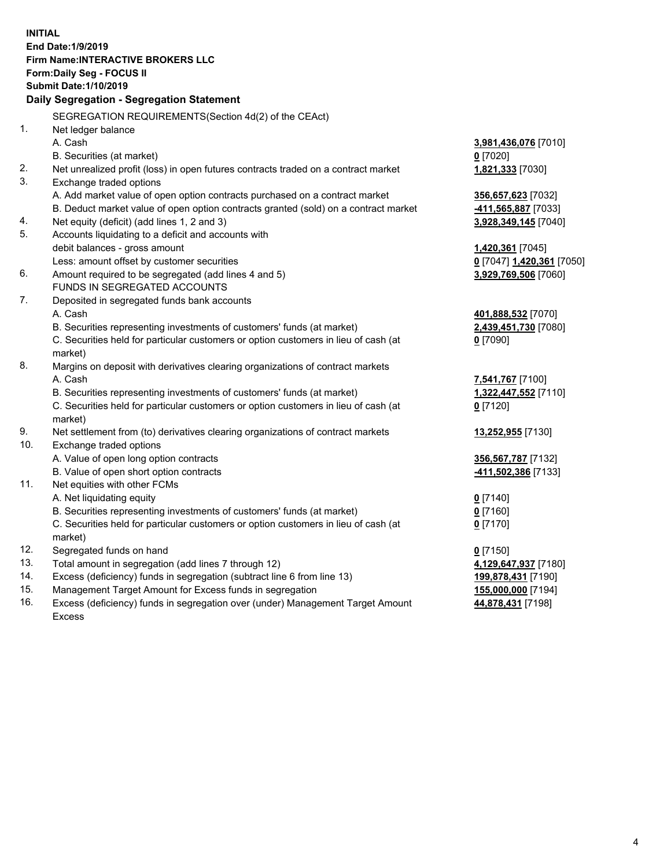**INITIAL End Date:1/9/2019 Firm Name:INTERACTIVE BROKERS LLC Form:Daily Seg - FOCUS II Submit Date:1/10/2019 Daily Segregation - Segregation Statement** SEGREGATION REQUIREMENTS(Section 4d(2) of the CEAct) 1. Net ledger balance A. Cash **3,981,436,076** [7010] B. Securities (at market) **0** [7020] 2. Net unrealized profit (loss) in open futures contracts traded on a contract market **1,821,333** [7030] 3. Exchange traded options A. Add market value of open option contracts purchased on a contract market **356,657,623** [7032] B. Deduct market value of open option contracts granted (sold) on a contract market **-411,565,887** [7033] 4. Net equity (deficit) (add lines 1, 2 and 3) **3,928,349,145** [7040] 5. Accounts liquidating to a deficit and accounts with debit balances - gross amount **1,420,361** [7045] Less: amount offset by customer securities **0** [7047] **1,420,361** [7050] 6. Amount required to be segregated (add lines 4 and 5) **3,929,769,506** [7060] FUNDS IN SEGREGATED ACCOUNTS 7. Deposited in segregated funds bank accounts A. Cash **401,888,532** [7070] B. Securities representing investments of customers' funds (at market) **2,439,451,730** [7080] C. Securities held for particular customers or option customers in lieu of cash (at market) **0** [7090] 8. Margins on deposit with derivatives clearing organizations of contract markets A. Cash **7,541,767** [7100] B. Securities representing investments of customers' funds (at market) **1,322,447,552** [7110] C. Securities held for particular customers or option customers in lieu of cash (at market) **0** [7120] 9. Net settlement from (to) derivatives clearing organizations of contract markets **13,252,955** [7130] 10. Exchange traded options A. Value of open long option contracts **356,567,787** [7132] B. Value of open short option contracts **-411,502,386** [7133] 11. Net equities with other FCMs A. Net liquidating equity **0** [7140] B. Securities representing investments of customers' funds (at market) **0** [7160] C. Securities held for particular customers or option customers in lieu of cash (at market) **0** [7170] 12. Segregated funds on hand **0** [7150] 13. Total amount in segregation (add lines 7 through 12) **4,129,647,937** [7180] 14. Excess (deficiency) funds in segregation (subtract line 6 from line 13) **199,878,431** [7190] 15. Management Target Amount for Excess funds in segregation **155,000,000** [7194]

16. Excess (deficiency) funds in segregation over (under) Management Target Amount Excess

**44,878,431** [7198]